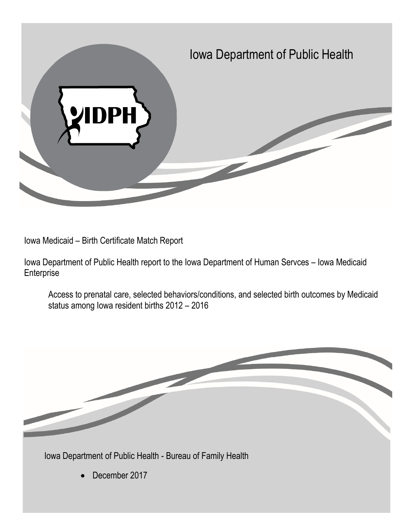

Iowa Medicaid – Birth Certificate Match Report

Iowa Department of Public Health report to the Iowa Department of Human Servces – Iowa Medicaid **Enterprise** 

Access to prenatal care, selected behaviors/conditions, and selected birth outcomes by Medicaid status among Iowa resident births 2012 – 2016

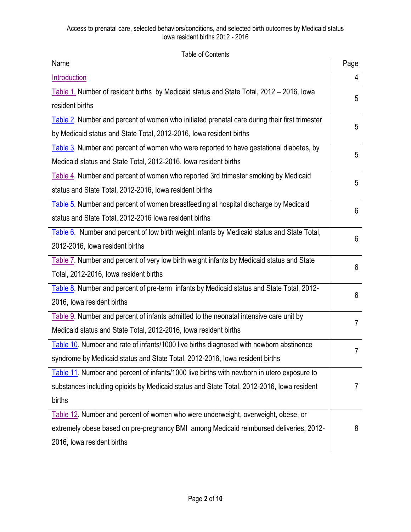<span id="page-1-1"></span><span id="page-1-0"></span>

| <b>Table of Contents</b>                                                                      |                |
|-----------------------------------------------------------------------------------------------|----------------|
| Name                                                                                          | Page           |
| <b>Introduction</b>                                                                           | $\overline{4}$ |
| Table 1. Number of resident births by Medicaid status and State Total, 2012 - 2016, Iowa      | 5              |
| resident births                                                                               |                |
| Table 2. Number and percent of women who initiated prenatal care during their first trimester | 5              |
| by Medicaid status and State Total, 2012-2016, Iowa resident births                           |                |
| Table 3. Number and percent of women who were reported to have gestational diabetes, by       | 5              |
| Medicaid status and State Total, 2012-2016, Iowa resident births                              |                |
| Table 4. Number and percent of women who reported 3rd trimester smoking by Medicaid           | 5              |
| status and State Total, 2012-2016, Iowa resident births                                       |                |
| Table 5. Number and percent of women breastfeeding at hospital discharge by Medicaid          |                |
| status and State Total, 2012-2016 Iowa resident births                                        | 6              |
| Table 6. Number and percent of low birth weight infants by Medicaid status and State Total,   | 6              |
| 2012-2016, lowa resident births                                                               |                |
| Table 7. Number and percent of very low birth weight infants by Medicaid status and State     | 6              |
| Total, 2012-2016, Iowa resident births                                                        |                |
| Table 8. Number and percent of pre-term infants by Medicaid status and State Total, 2012-     | 6              |
| 2016, Iowa resident births                                                                    |                |
| Table 9. Number and percent of infants admitted to the neonatal intensive care unit by        | 7              |
| Medicaid status and State Total, 2012-2016, Iowa resident births                              |                |
| Table 10. Number and rate of infants/1000 live births diagnosed with newborn abstinence       |                |
| syndrome by Medicaid status and State Total, 2012-2016, Iowa resident births                  |                |
| Table 11. Number and percent of infants/1000 live births with newborn in utero exposure to    |                |
| substances including opioids by Medicaid status and State Total, 2012-2016, Iowa resident     | 7              |
| births                                                                                        |                |
| Table 12. Number and percent of women who were underweight, overweight, obese, or             |                |
| extremely obese based on pre-pregnancy BMI among Medicaid reimbursed deliveries, 2012-        | 8              |
| 2016, Iowa resident births                                                                    |                |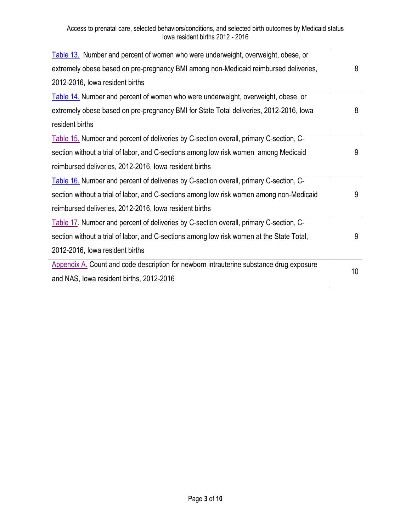| Table 13. Number and percent of women who were underweight, overweight, obese, or         |    |
|-------------------------------------------------------------------------------------------|----|
| extremely obese based on pre-pregnancy BMI among non-Medicaid reimbursed deliveries,      | 8  |
| 2012-2016, lowa resident births                                                           |    |
| Table 14. Number and percent of women who were underweight, overweight, obese, or         |    |
| extremely obese based on pre-pregnancy BMI for State Total deliveries, 2012-2016, Iowa    | 8  |
| resident births                                                                           |    |
| Table 15. Number and percent of deliveries by C-section overall, primary C-section, C-    |    |
| section without a trial of labor, and C-sections among low risk women among Medicaid      | 9  |
| reimbursed deliveries, 2012-2016, Iowa resident births                                    |    |
| Table 16. Number and percent of deliveries by C-section overall, primary C-section, C-    |    |
| section without a trial of labor, and C-sections among low risk women among non-Medicaid  | 9  |
| reimbursed deliveries, 2012-2016, Iowa resident births                                    |    |
| Table 17. Number and percent of deliveries by C-section overall, primary C-section, C-    |    |
| section without a trial of labor, and C-sections among low risk women at the State Total, | 9  |
| 2012-2016, lowa resident births                                                           |    |
| Appendix A. Count and code description for newborn intrauterine substance drug exposure   | 10 |
| and NAS, lowa resident births, 2012-2016                                                  |    |
|                                                                                           |    |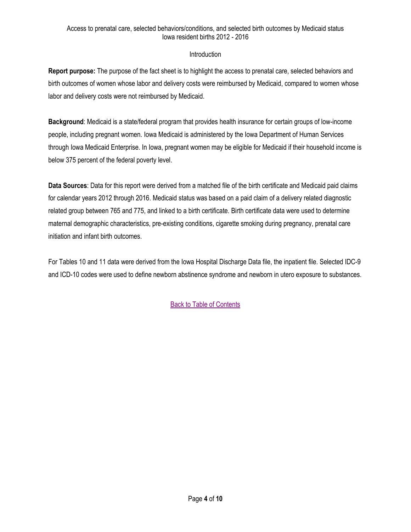# Introduction

<span id="page-3-0"></span>**Report purpose:** The purpose of the fact sheet is to highlight the access to prenatal care, selected behaviors and birth outcomes of women whose labor and delivery costs were reimbursed by Medicaid, compared to women whose labor and delivery costs were not reimbursed by Medicaid.

**Background**: Medicaid is a state/federal program that provides health insurance for certain groups of low-income people, including pregnant women. Iowa Medicaid is administered by the Iowa Department of Human Services through Iowa Medicaid Enterprise. In Iowa, pregnant women may be eligible for Medicaid if their household income is below 375 percent of the federal poverty level.

**Data Sources**: Data for this report were derived from a matched file of the birth certificate and Medicaid paid claims for calendar years 2012 through 2016. Medicaid status was based on a paid claim of a delivery related diagnostic related group between 765 and 775, and linked to a birth certificate. Birth certificate data were used to determine maternal demographic characteristics, pre-existing conditions, cigarette smoking during pregnancy, prenatal care initiation and infant birth outcomes.

For Tables 10 and 11 data were derived from the Iowa Hospital Discharge Data file, the inpatient file. Selected IDC-9 and ICD-10 codes were used to define newborn abstinence syndrome and newborn in utero exposure to substances.

[Back to Table of Contents](#page-1-0)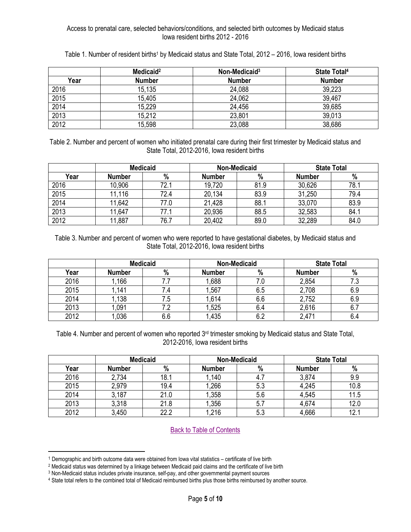<span id="page-4-0"></span>

|      | Medicaid <sup>2</sup> | Non-Medicaid <sup>3</sup> | <b>State Total4</b> |
|------|-----------------------|---------------------------|---------------------|
| Year | <b>Number</b>         | <b>Number</b>             | <b>Number</b>       |
| 2016 | 15,135                | 24,088                    | 39,223              |
| 2015 | 15,405                | 24,062                    | 39,467              |
| 2014 | 15,229                | 24.456                    | 39,685              |
| 2013 | 15,212                | 23,801                    | 39,013              |
| 2012 | 15,598                | 23,088                    | 38,686              |

Table 1. Number of resident births<sup>1</sup> by Medicaid status and State Total, 2012 – 2016, Iowa resident births

<span id="page-4-1"></span>Table 2. Number and percent of women who initiated prenatal care during their first trimester by Medicaid status and State Total, 2012-2016, Iowa resident births

|      | <b>Medicaid</b> |      | Non-Medicaid  |      | <b>State Total</b> |      |
|------|-----------------|------|---------------|------|--------------------|------|
| Year | <b>Number</b>   | $\%$ | <b>Number</b> | $\%$ | Number             | $\%$ |
| 2016 | 10,906          | 72.1 | 19,720        | 81.9 | 30,626             | 78.1 |
| 2015 | ,116            | 72.4 | 20,134        | 83.9 | 31,250             | 79.4 |
| 2014 | 1,642           | 77.0 | 21,428        | 88.1 | 33,070             | 83.9 |
| 2013 | 1,647           | 77.1 | 20,936        | 88.5 | 32,583             | 84.1 |
| 2012 | 11,887          | 76.7 | 20,402        | 89.0 | 32,289             | 84.0 |

<span id="page-4-2"></span>Table 3. Number and percent of women who were reported to have gestational diabetes, by Medicaid status and State Total, 2012-2016, Iowa resident births

|      | <b>Medicaid</b> |     | <b>Non-Medicaid</b> |     |               | <b>State Total</b> |  |
|------|-----------------|-----|---------------------|-----|---------------|--------------------|--|
| Year | <b>Number</b>   | %   | <b>Number</b>       | %   | <b>Number</b> | $\%$               |  |
| 2016 | .166            |     | 1,688               | 7.0 | 2,854         | 7.3                |  |
| 2015 | ,141            |     | 1,567               | 6.5 | 2,708         | 6.9                |  |
| 2014 | .138            | 7.5 | 1.614               | 6.6 | 2,752         | 6.9                |  |
| 2013 | .091            |     | 1,525               | 6.4 | 2,616         | 6.7                |  |
| 2012 | ,036            | 6.6 | 1,435               | 6.2 | 2,471         | 6.4                |  |

<span id="page-4-3"></span>Table 4. Number and percent of women who reported 3<sup>rd</sup> trimester smoking by Medicaid status and State Total, 2012-2016, Iowa resident births

|      | <b>Medicaid</b> |      | <b>Non-Medicaid</b> |     | <b>State Total</b> |      |
|------|-----------------|------|---------------------|-----|--------------------|------|
| Year | <b>Number</b>   | %    | <b>Number</b>       | %   | <b>Number</b>      | %    |
| 2016 | 2,734           | 18.1 | .140                |     | 3,874              | 9.9  |
| 2015 | 2,979           | 19.4 | 1,266               | 5.3 | 4,245              | 10.8 |
| 2014 | 3,187           | 21.0 | 1,358               | 5.6 | 4,545              | 11.5 |
| 2013 | 3,318           | 21.8 | 1,356               | 5.7 | 4,674              | 12.0 |
| 2012 | 3,450           | 22.2 | 1,216               | 5.3 | 4,666              | 12.1 |

[Back to Table of Contents](#page-1-0)

l

<sup>1</sup> Demographic and birth outcome data were obtained from Iowa vital statistics – certificate of live birth

<sup>2</sup> Medicaid status was determined by a linkage between Medicaid paid claims and the certificate of live birth

<sup>3</sup> Non-Medicaid status includes private insurance, self-pay, and other governmental payment sources

<sup>4</sup> State total refers to the combined total of Medicaid reimbursed births plus those births reimbursed by another source.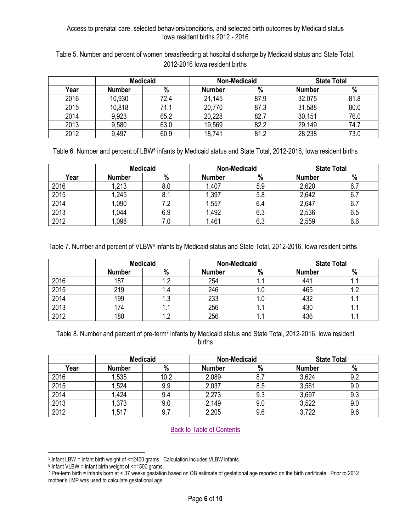<span id="page-5-0"></span>Table 5. Number and percent of women breastfeeding at hospital discharge by Medicaid status and State Total, 2012-2016 Iowa resident births

|      | <b>Medicaid</b> |      | Non-Medicaid  |      | <b>State Total</b> |      |
|------|-----------------|------|---------------|------|--------------------|------|
| Year | <b>Number</b>   | %    | <b>Number</b> | $\%$ | <b>Number</b>      | %    |
| 2016 | 10,930          | 72.4 | 21,145        | 87.9 | 32,075             | 81.8 |
| 2015 | 10,818          | 71.1 | 20,770        | 87.3 | 31,588             | 80.0 |
| 2014 | 9,923           | 65.2 | 20,228        | 82.7 | 30,151             | 76.0 |
| 2013 | 9,580           | 63.0 | 19,569        | 82.2 | 29,149             | 74.7 |
| 2012 | 9,497           | 60.9 | 18,741        | 81.2 | 28,238             | 73.0 |

<span id="page-5-1"></span>Table 6. Number and percent of LBW<sup>5</sup> infants by Medicaid status and State Total, 2012-2016, Iowa resident births

|      | <b>Medicaid</b> |     | <b>Non-Medicaid</b> |     | <b>State Total</b> |     |
|------|-----------------|-----|---------------------|-----|--------------------|-----|
| Year | <b>Number</b>   | %   | <b>Number</b>       | %   | <b>Number</b>      | %   |
| 2016 | 1,213           | 8.0 | 1,407               | 5.9 | 2,620              |     |
| 2015 | ,245            |     | ,397                | 5.8 | 2,642              |     |
| 2014 | ,090            |     | ,557                | 6.4 | 2,647              |     |
| 2013 | ,044            | 6.9 | 1.492               | 6.3 | 2,536              | 6.5 |
| 2012 | ,098            |     | .461                | 6.3 | 2,559              | 6.6 |

<span id="page-5-2"></span>Table 7. Number and percent of VLBW<sup>6</sup> infants by Medicaid status and State Total, 2012-2016, Iowa resident births

|      | <b>Medicaid</b> |      | <b>Non-Medicaid</b> |     | <b>State Total</b> |     |
|------|-----------------|------|---------------------|-----|--------------------|-----|
|      | <b>Number</b>   | %    | <b>Number</b>       | %   | <b>Number</b>      | %   |
| 2016 | 187             | ے. ا | 254                 |     | 441                |     |
| 2015 | 219             | I .4 | 246                 | I.U | 465                |     |
| 2014 | 199             | ں. ا | 233                 | ı.u | 432                | . . |
| 2013 | 174             | . .  | 256                 |     | 430                |     |
| 2012 | 180             | ے. ا | 256                 | . . | 436                | . . |

<span id="page-5-3"></span>Table 8. Number and percent of pre-term<sup>7</sup> infants by Medicaid status and State Total, 2012-2016, Iowa resident births

|      | <b>Medicaid</b> |      | <b>Non-Medicaid</b> |     | <b>State Total</b> |     |
|------|-----------------|------|---------------------|-----|--------------------|-----|
| Year | <b>Number</b>   | %    | <b>Number</b>       | %   | <b>Number</b>      | %   |
| 2016 | 1,535           | 10.2 | 2,089               | 8.7 | 3,624              | 9.2 |
| 2015 | 1,524           | 9.9  | 2,037               | 8.5 | 3,561              | 9.0 |
| 2014 | .424            | 9.4  | 2,273               | 9.3 | 3,697              | 9.3 |
| 2013 | 1,373           | 9.0  | 2,149               | 9.0 | 3,522              | 9.0 |
| 2012 | 1,517           | 9.7  | 2,205               | 9.6 | 3,722              | 9.6 |

[Back to Table of Contents](#page-1-0)

 $\overline{\phantom{a}}$ <sup>5</sup> Infant LBW = infant birth weight of <=2400 grams. Calculation includes VLBW infants.

 $6$  Infant VLBW = infant birth weight of  $\leq$ =1500 grams.

<sup>7</sup> Pre-term birth = infants born at < 37 weeks gestation based on OB estimate of gestational age reported on the birth certificate. Prior to 2012 mother's LMP was used to calculate gestational age.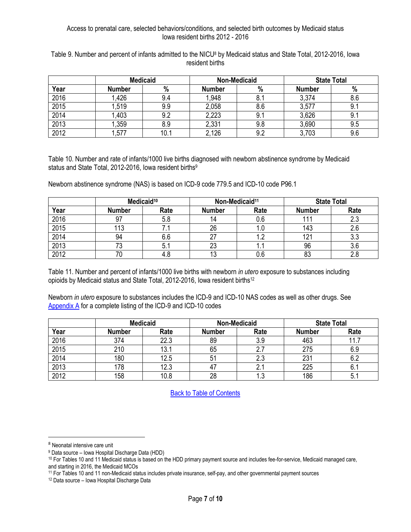|      |               | <b>Medicaid</b> |               | <b>Non-Medicaid</b> |               | <b>State Total</b> |
|------|---------------|-----------------|---------------|---------------------|---------------|--------------------|
| Year | <b>Number</b> | %               | <b>Number</b> | %                   | <b>Number</b> | %                  |
| 2016 | .426          | 9.4             | 1,948         | 8.1                 | 3,374         | 8.6                |
| 2015 | 1,519         | 9.9             | 2,058         | 8.6                 | 3,577         | 9.1                |
| 2014 | .403          | 9.2             | 2,223         | 9.1                 | 3,626         | 9.1                |
| 2013 | ,359          | 8.9             | 2,331         | 9.8                 | 3,690         | 9.5                |
| 2012 | ,577          | 10.1            | 2,126         | 9.2                 | 3,703         | 9.6                |

<span id="page-6-0"></span>Table 9. Number and percent of infants admitted to the NICU<sup>8</sup> by Medicaid status and State Total, 2012-2016, Iowa resident births

<span id="page-6-1"></span>Table 10. Number and rate of infants/1000 live births diagnosed with newborn abstinence syndrome by Medicaid status and State Total, 2012-2016, Iowa resident births<sup>9</sup>

Newborn abstinence syndrome (NAS) is based on ICD-9 code 779.5 and ICD-10 code P96.1

| Medicaid <sup>10</sup> |               |      | Non-Medicaid <sup>11</sup> |      | <b>State Total</b> |      |
|------------------------|---------------|------|----------------------------|------|--------------------|------|
| Year                   | <b>Number</b> | Rate | <b>Number</b>              | Rate | <b>Number</b>      | Rate |
| 2016                   | 97            | 5.8  | 14                         | 0.6  | 11                 | 2.3  |
| 2015                   | 113           |      | 26                         | I.U  | 143                |      |
| 2014                   | 94            | 6.6  |                            | 1.2  | 12 <sup>′</sup>    | ა.ა  |
| 2013                   |               | 5.1  | 23                         | . .  | 96                 |      |
| 2012                   |               | 4.ర  | 12<br>ں ا                  | U.6  | 83                 |      |

<span id="page-6-2"></span>Table 11. Number and percent of infants/1000 live births with newborn *in utero* exposure to substances including opioids by Medicaid status and State Total, 2012-2016, Iowa resident births<sup>12</sup>

Newborn *in utero* exposure to substances includes the ICD-9 and ICD-10 NAS codes as well as other drugs. See [Appendix A](#page-9-0) for a complete listing of the ICD-9 and ICD-10 codes

|      |               | <b>Medicaid</b> |               | <b>Non-Medicaid</b> | <b>State Total</b> |      |
|------|---------------|-----------------|---------------|---------------------|--------------------|------|
| Year | <b>Number</b> | Rate            | <b>Number</b> | Rate                | <b>Number</b>      | Rate |
| 2016 | 374           | 22.3            | 89            | 3.9                 | 463                | 11 7 |
| 2015 | 210           | 13.7            | 65            |                     | 275                | 6.9  |
| 2014 | 180           | 12.5            | 51            | 2.3                 | 231                |      |
| 2013 | 178           | 12.3            |               | <u>. .</u>          | 225                |      |
| 2012 | 158           | 10.8            | 28            | ົ<br>ل. ا           | 186                |      |

[Back to Table of Contents](#page-1-0)

l

<sup>8</sup> Neonatal intensive care unit

<sup>9</sup> Data source – Iowa Hospital Discharge Data (HDD)

<sup>&</sup>lt;sup>10</sup> For Tables 10 and 11 Medicaid status is based on the HDD primary payment source and includes fee-for-service, Medicaid managed care, and starting in 2016, the Medicaid MCOs

<sup>11</sup> For Tables 10 and 11 non-Medicaid status includes private insurance, self-pay, and other governmental payment sources

<sup>12</sup> Data source – Iowa Hospital Discharge Data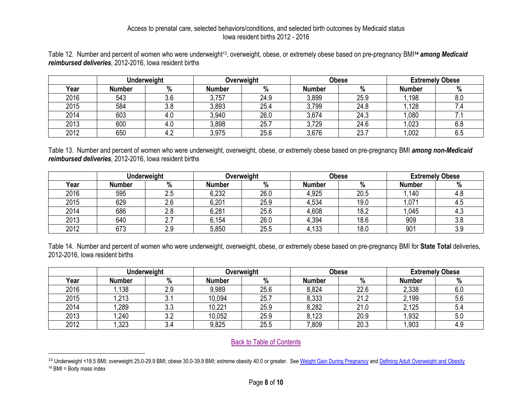Table 12. Number and percent of women who were underweight<sup>13</sup>, overweight, obese, or extremely obese based on pre-pregnancy BMI<sup>14</sup> among Medicaid *reimbursed deliveries*, 2012-2016, Iowa resident births

|      | <b>Underweight</b> |      | Overweight |      | Obese         |      | <b>Extremely Obese</b> |     |
|------|--------------------|------|------------|------|---------------|------|------------------------|-----|
| Year | Number             | $\%$ | Number     | %    | <b>Number</b> | $\%$ | <b>Number</b>          |     |
| 2016 | 543                | 3.6  | 3,757      | 24.9 | 3,899         | 25.9 | .198                   | 8.0 |
| 2015 | 584                | 3.8  | 3,893      | 25.4 | 3,799         | 24.8 | .128                   |     |
| 2014 | 603                | 4.U  | 3,940      | 26.0 | 3,674         | 24.3 | 1,080                  |     |
| 2013 | 600                | 4.V  | 3,898      | 25.7 | 3,729         | 24.6 | 1,023                  | 6.8 |
| 2012 | 650                |      | 3,975      | 25.6 | 3,676         | 23.7 | 1,002                  | ხ.5 |

Table 13. Number and percent of women who were underweight, overweight, obese, or extremely obese based on pre-pregnancy BMI *among non-Medicaid reimbursed deliveries*, 2012-2016, Iowa resident births

<span id="page-7-0"></span>

|      | <b>Underweight</b> |               | Overweight    |      | <b>Obese</b>  |      | <b>Extremely Obese</b> |      |
|------|--------------------|---------------|---------------|------|---------------|------|------------------------|------|
| Year | <b>Number</b>      | $\%$          | <b>Number</b> | %    | <b>Number</b> | %    | <b>Number</b>          | %    |
| 2016 | 595                | ۵.Z           | 6,232         | 26.0 | 4,925         | 20.5 | ,140                   | 4.C  |
| 2015 | 629                | $\sim$<br>2.b | 6,201         | 25.9 | 4,534         | 19.0 | .071                   | ن. 4 |
| 2014 | 686                | 2.8           | 6,281         | 25.6 | 4,608         | 18.2 | 1,045                  | ن.4  |
| 2013 | 640                | <u>. .</u>    | 6,154         | 26.0 | 4,394         | 18.6 | 909                    | 3.8  |
| 2012 | 673                | 2.9           | 5,850         | 25.5 | 4,133         | 18.0 | 901                    | 3.9  |

Table 14. Number and percent of women who were underweight, overweight, obese, or extremely obese based on pre-pregnancy BMI for **State Total** deliveries, 2012-2016, Iowa resident births

<span id="page-7-1"></span>

| <b>Underweight</b> |               | Overweight           |        | <b>Obese</b> |               | <b>Extremely Obese</b> |               |     |
|--------------------|---------------|----------------------|--------|--------------|---------------|------------------------|---------------|-----|
| Year               | <b>Number</b> | %                    | Number | %            | <b>Number</b> | %                      | <b>Number</b> | 7 U |
| 2016               | ,138          | 2.9                  | 9,989  | 25.6         | 8,824         | 22.6                   | 2,338         | 6.0 |
| 2015               | ,213          | υ.                   | 10,094 | 25.          | 8,333         | 21.2                   | 2,199         | 5.6 |
| 2014               | ,289          | 3.3                  | 10,221 | 25.9         | 8,282         | 21.0                   | 2,125         | 5.4 |
| 2013               | ,240          | $\sim$ $\sim$<br>J.Z | 10,052 | 25.9         | 8,123         | 20.9                   | 1,932         | 5.0 |
| 2012               | ,323          | 3.4                  | 9,825  | 25.5         | 0.809         | 20.3                   | ,903          | .45 |

[Back to Table of Contents](#page-1-1)

 $\overline{\phantom{a}}$ 

<span id="page-7-2"></span><sup>&</sup>lt;sup>13</sup> Underweight <18.5 BMI; overweight 25.0-29.9 BMI; obese 30.0-39.9 BMI; extreme obesity 40.0 or greater. See [Weight Gain During Pregnancy](https://www.nap.edu/resource/12584/Report-Brief---Weight-Gain-During-Pregnancy.pdf) an[d Defining Adult Overweight and Obesity](https://www.cdc.gov/obesity/adult/defining.html)  $14$  BMI = Body mass index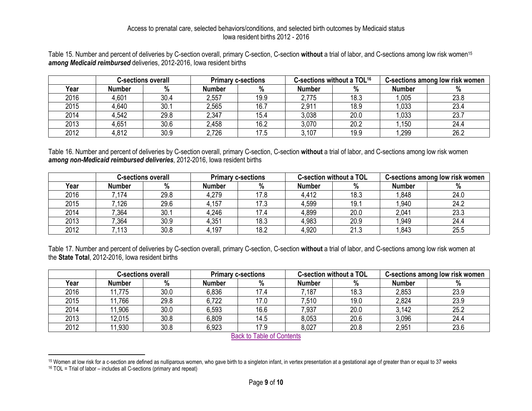Table 15. Number and percent of deliveries by C-section overall, primary C-section, C-section **without** a trial of labor, and C-sections among low risk women<sup>15</sup> *among Medicaid reimbursed* deliveries, 2012-2016, Iowa resident births

|      | <b>C-sections overall</b> |      | <b>Primary c-sections</b> |      | C-sections without a TOL <sup>16</sup> |      | C-sections among low risk women |      |
|------|---------------------------|------|---------------------------|------|----------------------------------------|------|---------------------------------|------|
| Year | Number                    | %    | Number                    | %    | Number                                 | %    | <b>Number</b>                   | %    |
| 2016 | 4,601                     | 30.4 | 2,557                     | 19.9 | 2,775                                  | 18.3 | 1,005                           | 23.8 |
| 2015 | 4,640                     | 30.1 | 2,565                     | 16.7 | 2,911                                  | 18.9 | 1.033                           | 23.4 |
| 2014 | 4,542                     | 29.8 | 2,347                     | 15.4 | 3,038                                  | 20.0 | 1,033                           | 23.7 |
| 2013 | 4,651                     | 30.6 | 2,458                     | 16.2 | 3,070                                  | 20.2 | .150                            | 24.4 |
| 2012 | 4,812                     | 30.9 | 2,726                     | 17.5 | 3,107                                  | 19.9 | 1,299                           | 26.2 |

Table 16. Number and percent of deliveries by C-section overall, primary C-section, C-section **without** a trial of labor, and C-sections among low risk women *among non-Medicaid reimbursed deliveries*, 2012-2016, Iowa resident births

<span id="page-8-0"></span>

|      | <b>C-sections overall</b> |      | <b>Primary c-sections</b> |      | <b>C-section without a TOL</b> |      | C-sections among low risk women |      |
|------|---------------------------|------|---------------------------|------|--------------------------------|------|---------------------------------|------|
| Year | Number                    | %    | <b>Number</b>             | %    | Number                         | %    | <b>Number</b>                   | %    |
| 2016 | 7.174                     | 29.8 | 4,279                     | 17.8 | 4,412                          | 18.3 | ',848                           | 24.0 |
| 2015 | 7.126                     | 29.6 | 4,157                     | 17.3 | 4,599                          | 19.1 | 1,940                           | 24.2 |
| 2014 | 7,364                     | 30.1 | 4,246                     | 17.4 | 4,899                          | 20.0 | 2.041                           | 23.3 |
| 2013 | 7,364                     | 30.9 | 4,351                     | 18.3 | 4,983                          | 20.9 | 1,949                           | 24.4 |
| 2012 | 7,113                     | 30.8 | l.197                     | 18.2 | 4,920                          | 21.3 | .843                            | 25.5 |

Table 17. Number and percent of deliveries by C-section overall, primary C-section, C-section **without** a trial of labor, and C-sections among low risk women at the **State Total**, 2012-2016, Iowa resident births

<span id="page-8-1"></span>

|      |        | <b>C-sections overall</b> | <b>Primary c-sections</b> |      | <b>C-section without a TOL</b> |      |               | C-sections among low risk women |
|------|--------|---------------------------|---------------------------|------|--------------------------------|------|---------------|---------------------------------|
| Year | Number | %                         | Number                    | %    | Number                         | %    | <b>Number</b> | 70                              |
| 2016 | 11,775 | 30.0                      | 6,836                     | 17.4 | 7,187                          | 18.3 | 2,853         | 23.9                            |
| 2015 | 11,766 | 29.8                      | 6,722                     | 17.0 | 7,510                          | 19.0 | 2,824         | 23.9                            |
| 2014 | 11,906 | 30.0                      | 6,593                     | 16.6 | 7,937                          | 20.0 | 3,142         | 25.2                            |
| 2013 | 12,015 | 30.8                      | 6,809                     | 14.5 | 8,053                          | 20.6 | 3,096         | 24.4                            |
| 2012 | 11,930 | 30.8                      | 6,923                     | 17.9 | 8,027                          | 20.8 | 2,951         | 23.6                            |

[Back to Table of Contents](#page-1-1)

 $\overline{\phantom{a}}$ 

<sup>&</sup>lt;sup>15</sup> Women at low risk for a c-section are defined as nulliparous women, who gave birth to a singleton infant, in vertex presentation at a gestational age of greater than or equal to 37 weeks

<span id="page-8-2"></span><sup>16</sup> TOL = Trial of labor – includes all C-sections (primary and repeat)